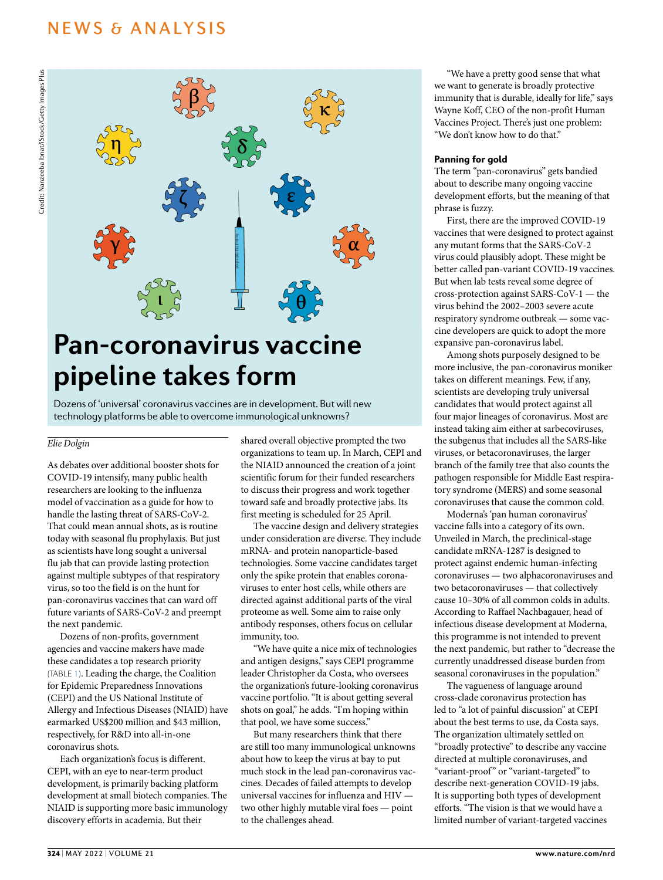# News & Analysis



Dozens of 'universal' coronavirus vaccines are in development. But will new technology platforms be able to overcome immunological unknowns?

## *Elie Dolgin*

As debates over additional booster shots for COVID-19 intensify, many public health researchers are looking to the influenza model of vaccination as a guide for how to handle the lasting threat of SARS-CoV-2. That could mean annual shots, as is routine today with seasonal flu prophylaxis. But just as scientists have long sought a universal flu jab that can provide lasting protection against multiple subtypes of that respiratory virus, so too the field is on the hunt for pan-coronavirus vaccines that can ward off future variants of SARS-CoV-2 and preempt the next pandemic.

Dozens of non-profits, government agencies and vaccine makers have made these candidates a top research priority (Table [1\)](#page-1-0). Leading the charge, the Coalition for Epidemic Preparedness Innovations (CEPI) and the US National Institute of Allergy and Infectious Diseases (NIAID) have earmarked US\$200 million and \$43 million, respectively, for R&D into all-in-one coronavirus shots.

Each organization's focus is different. CEPI, with an eye to near-term product development, is primarily backing platform development at small biotech companies. The NIAID is supporting more basic immunology discovery efforts in academia. But their

shared overall objective prompted the two organizations to team up. In March, CEPI and the NIAID announced the creation of a joint scientific forum for their funded researchers to discuss their progress and work together toward safe and broadly protective jabs. Its first meeting is scheduled for 25 April.

The vaccine design and delivery strategies under consideration are diverse. They include mRNA- and protein nanoparticle-based technologies. Some vaccine candidates target only the spike protein that enables coronaviruses to enter host cells, while others are directed against additional parts of the viral proteome as well. Some aim to raise only antibody responses, others focus on cellular immunity, too.

"We have quite a nice mix of technologies and antigen designs," says CEPI programme leader Christopher da Costa, who oversees the organization's future-looking coronavirus vaccine portfolio. "It is about getting several shots on goal," he adds. "I'm hoping within that pool, we have some success."

But many researchers think that there are still too many immunological unknowns about how to keep the virus at bay to put much stock in the lead pan-coronavirus vaccines. Decades of failed attempts to develop universal vaccines for influenza and HIV two other highly mutable viral foes — point to the challenges ahead.

"We have a pretty good sense that what we want to generate is broadly protective immunity that is durable, ideally for life," says Wayne Koff, CEO of the non-profit Human Vaccines Project. There's just one problem: "We don't know how to do that."

### Panning for gold

The term "pan-coronavirus" gets bandied about to describe many ongoing vaccine development efforts, but the meaning of that phrase is fuzzy.

First, there are the improved COVID-19 vaccines that were designed to protect against any mutant forms that the SARS-CoV-2 virus could plausibly adopt. These might be better called pan-variant COVID-19 vaccines. But when lab tests reveal some degree of cross-protection against SARS-CoV-1 — the virus behind the 2002–2003 severe acute respiratory syndrome outbreak — some vaccine developers are quick to adopt the more expansive pan-coronavirus label.

Among shots purposely designed to be more inclusive, the pan-coronavirus moniker takes on different meanings. Few, if any, scientists are developing truly universal candidates that would protect against all four major lineages of coronavirus. Most are instead taking aim either at sarbecoviruses, the subgenus that includes all the SARS-like viruses, or betacoronaviruses, the larger branch of the family tree that also counts the pathogen responsible for Middle East respiratory syndrome (MERS) and some seasonal coronaviruses that cause the common cold.

Moderna's 'pan human coronavirus' vaccine falls into a category of its own. Unveiled in March, the preclinical-stage candidate mRNA-1287 is designed to protect against endemic human-infecting coronaviruses — two alphacoronaviruses and two betacoronaviruses — that collectively cause 10–30% of all common colds in adults. According to Raffael Nachbagauer, head of infectious disease development at Moderna, this programme is not intended to prevent the next pandemic, but rather to "decrease the currently unaddressed disease burden from seasonal coronaviruses in the population."

The vagueness of language around cross-clade coronavirus protection has led to "a lot of painful discussion" at CEPI about the best terms to use, da Costa says. The organization ultimately settled on "broadly protective" to describe any vaccine directed at multiple coronaviruses, and "variant-proof" or "variant-targeted" to describe next-generation COVID-19 jabs. It is supporting both types of development efforts. "The vision is that we would have a limited number of variant-targeted vaccines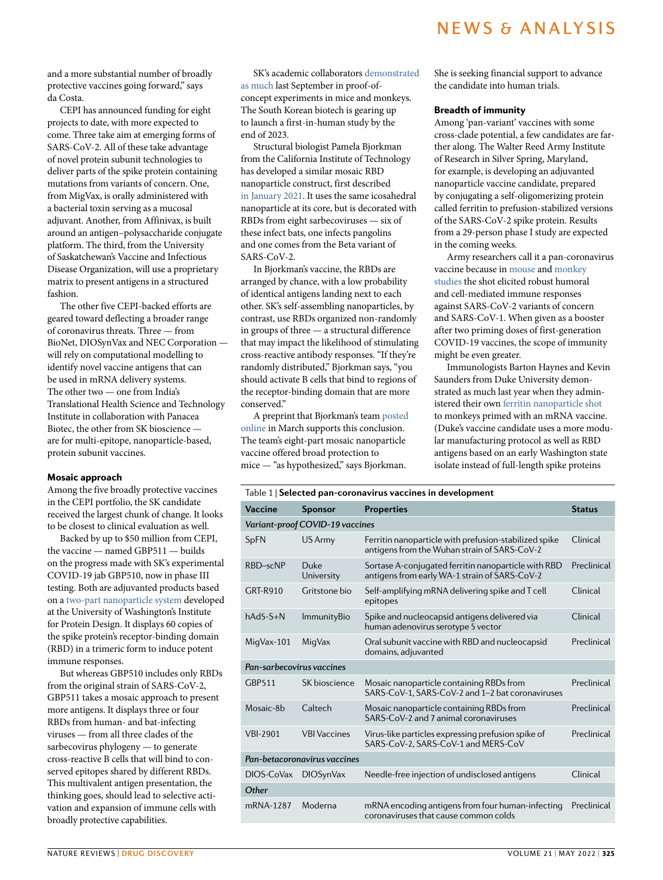## News & Analysis

and a more substantial number of broadly protective vaccines going forward," says da Costa.

CEPI has announced funding for eight projects to date, with more expected to come. Three take aim at emerging forms of SARS-CoV-2. All of these take advantage of novel protein subunit technologies to deliver parts of the spike protein containing mutations from variants of concern. One, from MigVax, is orally administered with a bacterial toxin serving as a mucosal adjuvant. Another, from Affinivax, is built around an antigen–polysaccharide conjugate platform. The third, from the University of Saskatchewan's Vaccine and Infectious Disease Organization, will use a proprietary matrix to present antigens in a structured fashion.

The other five CEPI-backed efforts are geared toward deflecting a broader range of coronavirus threats. Three — from BioNet, DIOSynVax and NEC Corporation will rely on computational modelling to identify novel vaccine antigens that can be used in mRNA delivery systems. The other two — one from India's Translational Health Science and Technology Institute in collaboration with Panacea Biotec, the other from SK bioscience are for multi-epitope, nanoparticle-based, protein subunit vaccines.

#### Mosaic approach

Among the five broadly protective vaccines in the CEPI portfolio, the SK candidate received the largest chunk of change. It looks to be closest to clinical evaluation as well.

Backed by up to \$50 million from CEPI, the vaccine — named GBP511 — builds on the progress made with SK's experimental COVID-19 jab GBP510, now in phase III testing. Both are adjuvanted products based on a two-part [nanoparticle](https://doi.org/10.1016/j.cell.2020.10.043) system developed at the University of Washington's Institute for Protein Design. It displays 60 copies of the spike protein's receptor-binding domain (RBD) in a trimeric form to induce potent immune responses.

But whereas GBP510 includes only RBDs from the original strain of SARS-CoV-2, GBP511 takes a mosaic approach to present more antigens. It displays three or four RBDs from human- and bat-infecting viruses — from all three clades of the sarbecovirus phylogeny — to generate cross-reactive B cells that will bind to conserved epitopes shared by different RBDs. This multivalent antigen presentation, the thinking goes, should lead to selective activation and expansion of immune cells with broadly protective capabilities.

SK's academic collaborators [demonstrated](https://www.cell.com/cell/fulltext/S0092-8674(21)01062-X?_returnURL=https%3A%2F%2Flinkinghub.elsevier.com%2Fretrieve%2Fpii%2FS009286742101062X%3Fshowall%3Dtrue) as [much](https://www.cell.com/cell/fulltext/S0092-8674(21)01062-X?_returnURL=https%3A%2F%2Flinkinghub.elsevier.com%2Fretrieve%2Fpii%2FS009286742101062X%3Fshowall%3Dtrue) last September in proof-ofconcept experiments in mice and monkeys. The South Korean biotech is gearing up to launch a first-in-human study by the end of 2023.

Structural biologist Pamela Bjorkman from the California Institute of Technology has developed a similar mosaic RBD nanoparticle construct, first described in [January](https://www.science.org/doi/10.1126/science.abf6840) 2021. It uses the same icosahedral nanoparticle at its core, but is decorated with RBDs from eight sarbecoviruses — six of these infect bats, one infects pangolins and one comes from the Beta variant of SARS-CoV-2.

In Bjorkman's vaccine, the RBDs are arranged by chance, with a low probability of identical antigens landing next to each other. SK's self-assembling nanoparticles, by contrast, use RBDs organized non-randomly in groups of three — a structural difference that may impact the likelihood of stimulating cross-reactive antibody responses. "If they're randomly distributed," Bjorkman says, "you should activate B cells that bind to regions of the receptor-binding domain that are more conserved."

A preprint that Bjorkman's team [posted](https://www.biorxiv.org/content/10.1101/2022.03.25.485875v1) [online](https://www.biorxiv.org/content/10.1101/2022.03.25.485875v1) in March supports this conclusion. The team's eight-part mosaic nanoparticle vaccine offered broad protection to mice — "as hypothesized," says Bjorkman.

She is seeking financial support to advance the candidate into human trials.

### Breadth of immunity

Among 'pan-variant' vaccines with some cross-clade potential, a few candidates are farther along. The Walter Reed Army Institute of Research in Silver Spring, Maryland, for example, is developing an adjuvanted nanoparticle vaccine candidate, prepared by conjugating a self-oligomerizing protein called ferritin to prefusion-stabilized versions of the SARS-CoV-2 spike protein. Results from a 29-person phase I study are expected in the coming weeks.

Army researchers call it a pan-coronavirus vaccine because in [mouse](https://doi.org/10.1016/j.celrep.2021.110143) and [monkey](https://www.science.org/doi/10.1126/scitranslmed.abi5735) [studies](https://www.science.org/doi/10.1126/scitranslmed.abi5735) the shot elicited robust humoral and cell-mediated immune responses against SARS-CoV-2 variants of concern and SARS-CoV-1. When given as a booster after two priming doses of first-generation COVID-19 vaccines, the scope of immunity might be even greater.

Immunologists Barton Haynes and Kevin Saunders from Duke University demonstrated as much last year when they administered their own ferritin [nanoparticle](https://www.nature.com/articles/s41586-021-03594-0) shot to monkeys primed with an mRNA vaccine. (Duke's vaccine candidate uses a more modular manufacturing protocol as well as RBD antigens based on an early Washington state isolate instead of full-length spike proteins

<span id="page-1-0"></span>

| Table 1   Selected pan-coronavirus vaccines in development |                     |                                                                                                       |               |
|------------------------------------------------------------|---------------------|-------------------------------------------------------------------------------------------------------|---------------|
| <b>Vaccine</b>                                             | <b>Sponsor</b>      | <b>Properties</b>                                                                                     | <b>Status</b> |
| Variant-proof COVID-19 vaccines                            |                     |                                                                                                       |               |
| SpFN                                                       | US Army             | Ferritin nanoparticle with prefusion-stabilized spike<br>antigens from the Wuhan strain of SARS-CoV-2 | Clinical      |
| RBD-scNP                                                   | Duke<br>University  | Sortase A-conjugated ferritin nanoparticle with RBD<br>antigens from early WA-1 strain of SARS-CoV-2  | Preclinical   |
| GRT-R910                                                   | Gritstone bio       | Self-amplifying mRNA delivering spike and T cell<br>epitopes                                          | Clinical      |
| $hAd5-S+N$                                                 | <b>ImmunityBio</b>  | Spike and nucleocapsid antigens delivered via<br>human adenovirus serotype 5 vector                   | Clinical      |
| MigVax-101                                                 | <b>MigVax</b>       | Oral subunit vaccine with RBD and nucleocapsid<br>domains, adjuvanted                                 | Preclinical   |
| Pan-sarbecovirus vaccines                                  |                     |                                                                                                       |               |
| GBP511                                                     | SK bioscience       | Mosaic nanoparticle containing RBDs from<br>SARS-CoV-1, SARS-CoV-2 and 1-2 bat coronaviruses          | Preclinical   |
| Mosaic-8b                                                  | Caltech             | Mosaic nanoparticle containing RBDs from<br>SARS-CoV-2 and 7 animal coronaviruses                     | Preclinical   |
| VBI-2901                                                   | <b>VBI</b> Vaccines | Virus-like particles expressing prefusion spike of<br>SARS-CoV-2, SARS-CoV-1 and MERS-CoV             | Preclinical   |
| Pan-betacoronavirus vaccines                               |                     |                                                                                                       |               |
| DIOS-CoVax                                                 | <b>DIOSynVax</b>    | Needle-free injection of undisclosed antigens                                                         | Clinical      |
| Other                                                      |                     |                                                                                                       |               |
| mRNA-1287                                                  | Moderna             | mRNA encoding antigens from four human-infecting<br>coronaviruses that cause common colds             | Preclinical   |